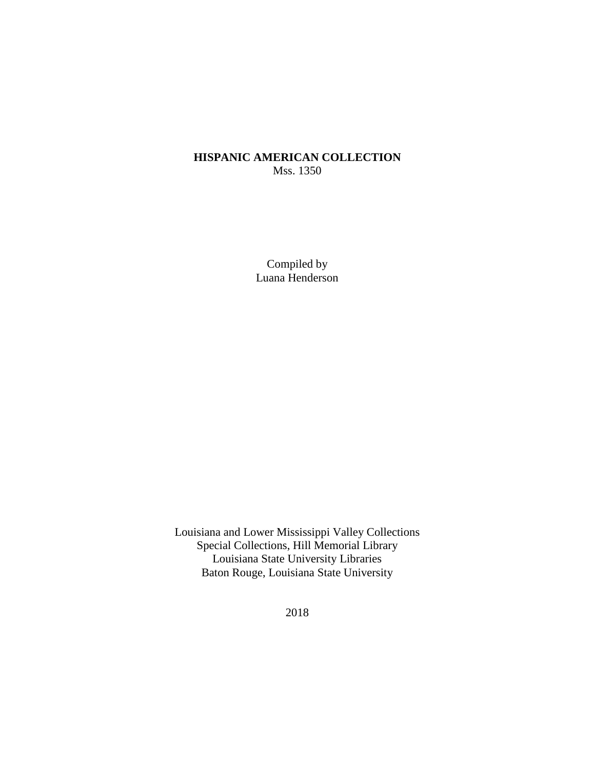# **HISPANIC AMERICAN COLLECTION** Mss. 1350

Compiled by Luana Henderson

Louisiana and Lower Mississippi Valley Collections Special Collections, Hill Memorial Library Louisiana State University Libraries Baton Rouge, Louisiana State University

2018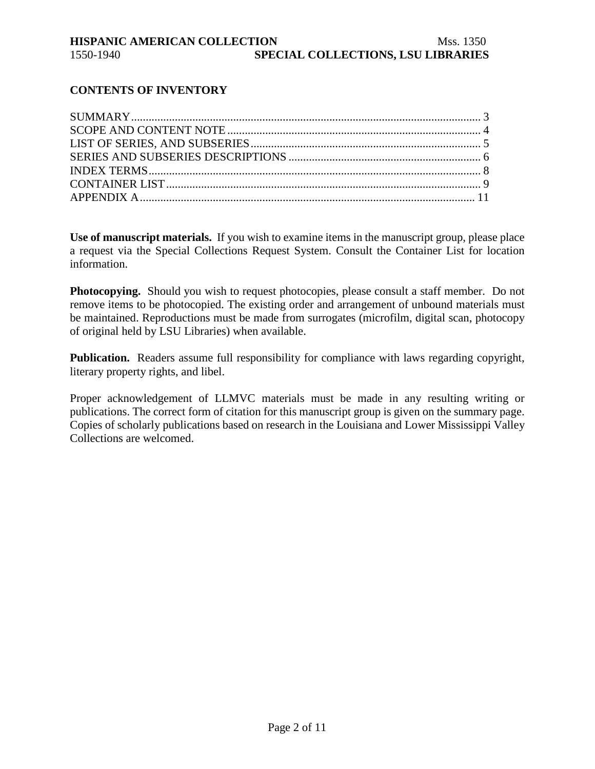# **CONTENTS OF INVENTORY**

**Use of manuscript materials.** If you wish to examine items in the manuscript group, please place a request via the Special Collections Request System. Consult the Container List for location information.

**Photocopying.** Should you wish to request photocopies, please consult a staff member. Do not remove items to be photocopied. The existing order and arrangement of unbound materials must be maintained. Reproductions must be made from surrogates (microfilm, digital scan, photocopy of original held by LSU Libraries) when available.

**Publication.** Readers assume full responsibility for compliance with laws regarding copyright, literary property rights, and libel.

Proper acknowledgement of LLMVC materials must be made in any resulting writing or publications. The correct form of citation for this manuscript group is given on the summary page. Copies of scholarly publications based on research in the Louisiana and Lower Mississippi Valley Collections are welcomed.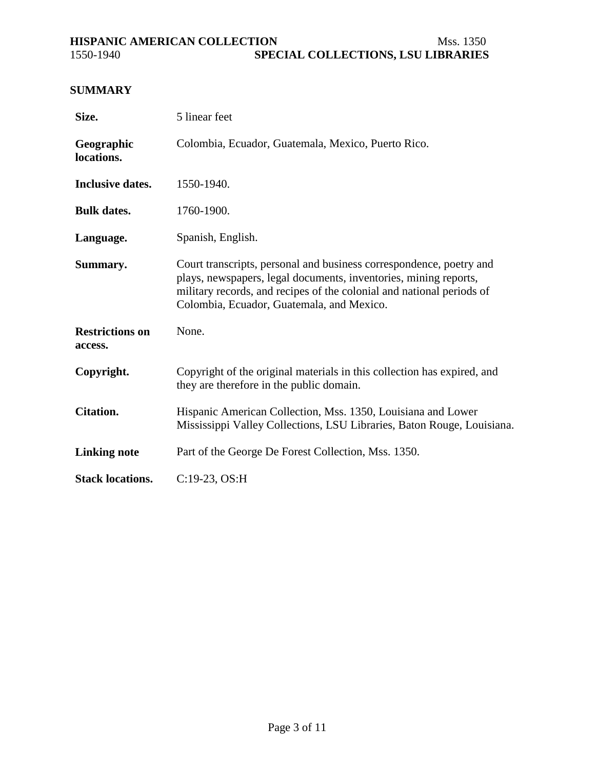# <span id="page-2-0"></span>**HISPANIC AMERICAN COLLECTION Mss. 1350**<br>**SPECIAL COLLECTIONS, LSU LIBRARIES SPECIAL COLLECTIONS, LSU LIBRARIES**

# **SUMMARY**

| Size.                             | 5 linear feet                                                                                                                                                                                                                                                 |
|-----------------------------------|---------------------------------------------------------------------------------------------------------------------------------------------------------------------------------------------------------------------------------------------------------------|
| Geographic<br>locations.          | Colombia, Ecuador, Guatemala, Mexico, Puerto Rico.                                                                                                                                                                                                            |
| <b>Inclusive dates.</b>           | 1550-1940.                                                                                                                                                                                                                                                    |
| <b>Bulk dates.</b>                | 1760-1900.                                                                                                                                                                                                                                                    |
| Language.                         | Spanish, English.                                                                                                                                                                                                                                             |
| Summary.                          | Court transcripts, personal and business correspondence, poetry and<br>plays, newspapers, legal documents, inventories, mining reports,<br>military records, and recipes of the colonial and national periods of<br>Colombia, Ecuador, Guatemala, and Mexico. |
| <b>Restrictions on</b><br>access. | None.                                                                                                                                                                                                                                                         |
| Copyright.                        | Copyright of the original materials in this collection has expired, and<br>they are therefore in the public domain.                                                                                                                                           |
| <b>Citation.</b>                  | Hispanic American Collection, Mss. 1350, Louisiana and Lower<br>Mississippi Valley Collections, LSU Libraries, Baton Rouge, Louisiana.                                                                                                                        |
| <b>Linking note</b>               | Part of the George De Forest Collection, Mss. 1350.                                                                                                                                                                                                           |
| <b>Stack locations.</b>           | C:19-23, OS:H                                                                                                                                                                                                                                                 |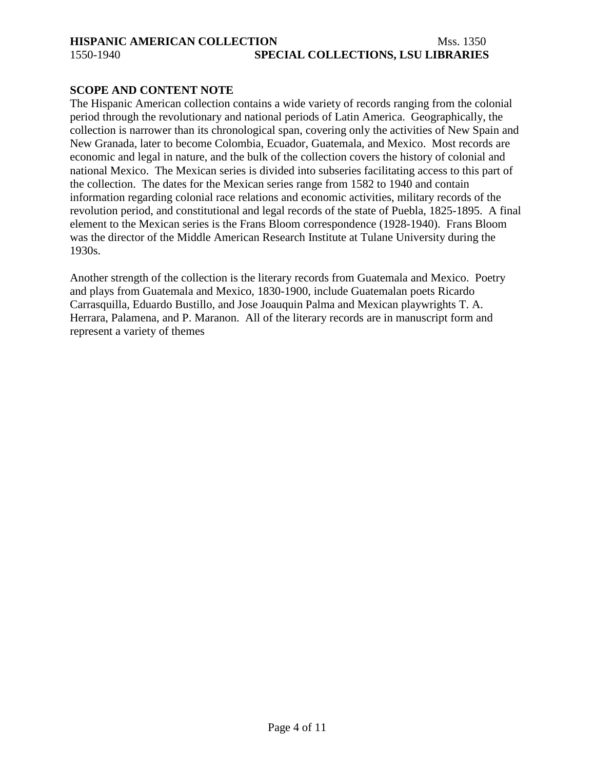# <span id="page-3-0"></span>**HISPANIC AMERICAN COLLECTION** Mss. 1350 1550-1940 **SPECIAL COLLECTIONS, LSU LIBRARIES**

# **SCOPE AND CONTENT NOTE**

The Hispanic American collection contains a wide variety of records ranging from the colonial period through the revolutionary and national periods of Latin America. Geographically, the collection is narrower than its chronological span, covering only the activities of New Spain and New Granada, later to become Colombia, Ecuador, Guatemala, and Mexico. Most records are economic and legal in nature, and the bulk of the collection covers the history of colonial and national Mexico. The Mexican series is divided into subseries facilitating access to this part of the collection. The dates for the Mexican series range from 1582 to 1940 and contain information regarding colonial race relations and economic activities, military records of the revolution period, and constitutional and legal records of the state of Puebla, 1825-1895. A final element to the Mexican series is the Frans Bloom correspondence (1928-1940). Frans Bloom was the director of the Middle American Research Institute at Tulane University during the 1930s.

Another strength of the collection is the literary records from Guatemala and Mexico. Poetry and plays from Guatemala and Mexico, 1830-1900, include Guatemalan poets Ricardo Carrasquilla, Eduardo Bustillo, and Jose Joauquin Palma and Mexican playwrights T. A. Herrara, Palamena, and P. Maranon. All of the literary records are in manuscript form and represent a variety of themes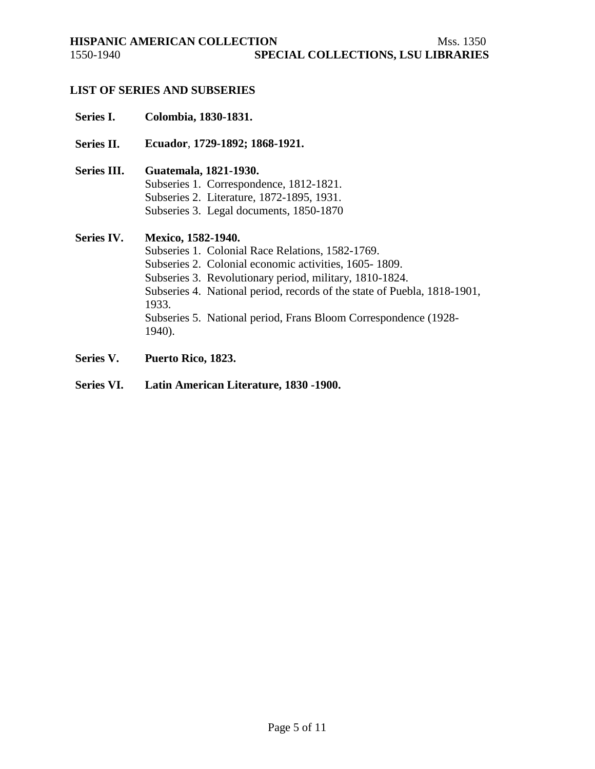<span id="page-4-0"></span>

# **LIST OF SERIES AND SUBSERIES**

# **Series I. Colombia, 1830-1831.**

- **Series II. Ecuador**, **1729-1892; 1868-1921.**
- **Series III. Guatemala, 1821-1930.** Subseries 1. Correspondence, 1812-1821. Subseries 2. Literature, 1872-1895, 1931. Subseries 3. Legal documents, 1850-1870

# **Series IV. Mexico, 1582-1940.**

Subseries 1. Colonial Race Relations, 1582-1769. Subseries 2. Colonial economic activities, 1605- 1809. Subseries 3. Revolutionary period, military, 1810-1824. Subseries 4. National period, records of the state of Puebla, 1818-1901, 1933. Subseries 5. National period, Frans Bloom Correspondence (1928- 1940).

- **Series V. Puerto Rico, 1823.**
- **Series VI. Latin American Literature, 1830 -1900.**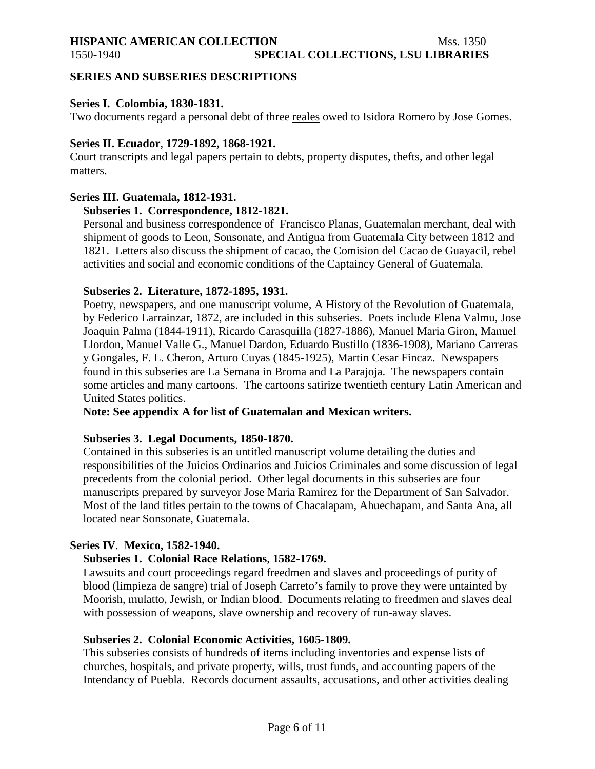# <span id="page-5-0"></span>**HISPANIC AMERICAN COLLECTION** Mss. 1350

# **SERIES AND SUBSERIES DESCRIPTIONS**

# **Series I. Colombia, 1830-1831.**

Two documents regard a personal debt of three reales owed to Isidora Romero by Jose Gomes.

# **Series II. Ecuador**, **1729-1892, 1868-1921.**

Court transcripts and legal papers pertain to debts, property disputes, thefts, and other legal matters.

# **Series III. Guatemala, 1812-1931.**

# **Subseries 1. Correspondence, 1812-1821.**

Personal and business correspondence of Francisco Planas, Guatemalan merchant, deal with shipment of goods to Leon, Sonsonate, and Antigua from Guatemala City between 1812 and 1821. Letters also discuss the shipment of cacao, the Comision del Cacao de Guayacil, rebel activities and social and economic conditions of the Captaincy General of Guatemala.

### **Subseries 2. Literature, 1872-1895, 1931.**

Poetry, newspapers, and one manuscript volume, A History of the Revolution of Guatemala, by Federico Larrainzar, 1872, are included in this subseries. Poets include Elena Valmu, Jose Joaquin Palma (1844-1911), Ricardo Carasquilla (1827-1886), Manuel Maria Giron, Manuel Llordon, Manuel Valle G., Manuel Dardon, Eduardo Bustillo (1836-1908), Mariano Carreras y Gongales, F. L. Cheron, Arturo Cuyas (1845-1925), Martin Cesar Fincaz. Newspapers found in this subseries are La Semana in Broma and La Parajoja. The newspapers contain some articles and many cartoons. The cartoons satirize twentieth century Latin American and United States politics.

**Note: See appendix A for list of Guatemalan and Mexican writers.**

### **Subseries 3. Legal Documents, 1850-1870.**

Contained in this subseries is an untitled manuscript volume detailing the duties and responsibilities of the Juicios Ordinarios and Juicios Criminales and some discussion of legal precedents from the colonial period. Other legal documents in this subseries are four manuscripts prepared by surveyor Jose Maria Ramirez for the Department of San Salvador. Most of the land titles pertain to the towns of Chacalapam, Ahuechapam, and Santa Ana, all located near Sonsonate, Guatemala.

# **Series IV**. **Mexico, 1582-1940.**

### **Subseries 1. Colonial Race Relations**, **1582-1769.**

Lawsuits and court proceedings regard freedmen and slaves and proceedings of purity of blood (limpieza de sangre) trial of Joseph Carreto's family to prove they were untainted by Moorish, mulatto, Jewish, or Indian blood. Documents relating to freedmen and slaves deal with possession of weapons, slave ownership and recovery of run-away slaves.

### **Subseries 2. Colonial Economic Activities, 1605-1809.**

This subseries consists of hundreds of items including inventories and expense lists of churches, hospitals, and private property, wills, trust funds, and accounting papers of the Intendancy of Puebla. Records document assaults, accusations, and other activities dealing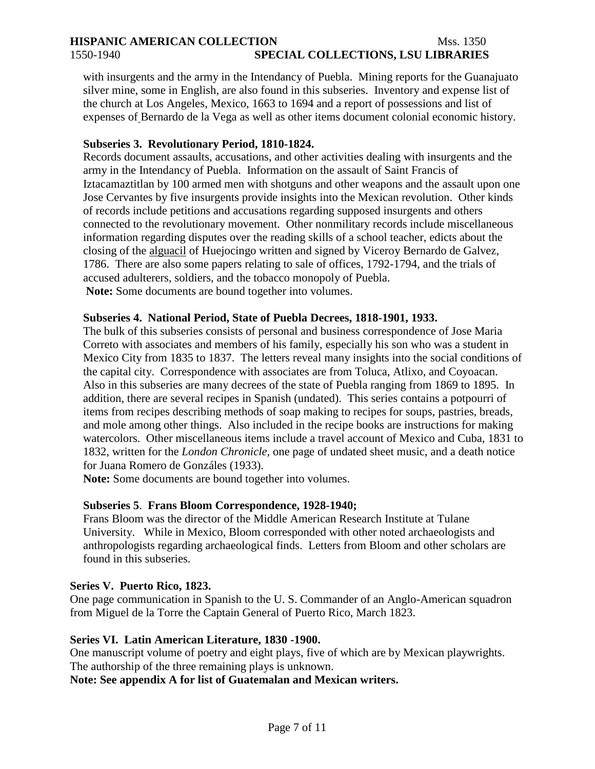# **HISPANIC AMERICAN COLLECTION** Mss. 1350 1550-1940 **SPECIAL COLLECTIONS, LSU LIBRARIES**

with insurgents and the army in the Intendancy of Puebla. Mining reports for the Guanajuato silver mine, some in English, are also found in this subseries. Inventory and expense list of the church at Los Angeles, Mexico, 1663 to 1694 and a report of possessions and list of expenses of Bernardo de la Vega as well as other items document colonial economic history.

# **Subseries 3. Revolutionary Period, 1810-1824.**

Records document assaults, accusations, and other activities dealing with insurgents and the army in the Intendancy of Puebla. Information on the assault of Saint Francis of Iztacamaztitlan by 100 armed men with shotguns and other weapons and the assault upon one Jose Cervantes by five insurgents provide insights into the Mexican revolution. Other kinds of records include petitions and accusations regarding supposed insurgents and others connected to the revolutionary movement. Other nonmilitary records include miscellaneous information regarding disputes over the reading skills of a school teacher, edicts about the closing of the alguacil of Huejocingo written and signed by Viceroy Bernardo de Galvez, 1786. There are also some papers relating to sale of offices, 1792-1794, and the trials of accused adulterers, soldiers, and the tobacco monopoly of Puebla. **Note:** Some documents are bound together into volumes.

# **Subseries 4. National Period, State of Puebla Decrees, 1818-1901, 1933.**

The bulk of this subseries consists of personal and business correspondence of Jose Maria Correto with associates and members of his family, especially his son who was a student in Mexico City from 1835 to 1837. The letters reveal many insights into the social conditions of the capital city. Correspondence with associates are from Toluca, Atlixo, and Coyoacan. Also in this subseries are many decrees of the state of Puebla ranging from 1869 to 1895. In addition, there are several recipes in Spanish (undated). This series contains a potpourri of items from recipes describing methods of soap making to recipes for soups, pastries, breads, and mole among other things. Also included in the recipe books are instructions for making watercolors. Other miscellaneous items include a travel account of Mexico and Cuba, 1831 to 1832, written for the *London Chronicle,* one page of undated sheet music, and a death notice for Juana Romero de Gonzáles (1933).

**Note:** Some documents are bound together into volumes.

### **Subseries 5**. **Frans Bloom Correspondence, 1928-1940;**

Frans Bloom was the director of the Middle American Research Institute at Tulane University. While in Mexico, Bloom corresponded with other noted archaeologists and anthropologists regarding archaeological finds. Letters from Bloom and other scholars are found in this subseries.

### **Series V. Puerto Rico, 1823.**

One page communication in Spanish to the U. S. Commander of an Anglo-American squadron from Miguel de la Torre the Captain General of Puerto Rico, March 1823.

### **Series VI. Latin American Literature, 1830 -1900.**

One manuscript volume of poetry and eight plays, five of which are by Mexican playwrights. The authorship of the three remaining plays is unknown.

**Note: See appendix A for list of Guatemalan and Mexican writers.**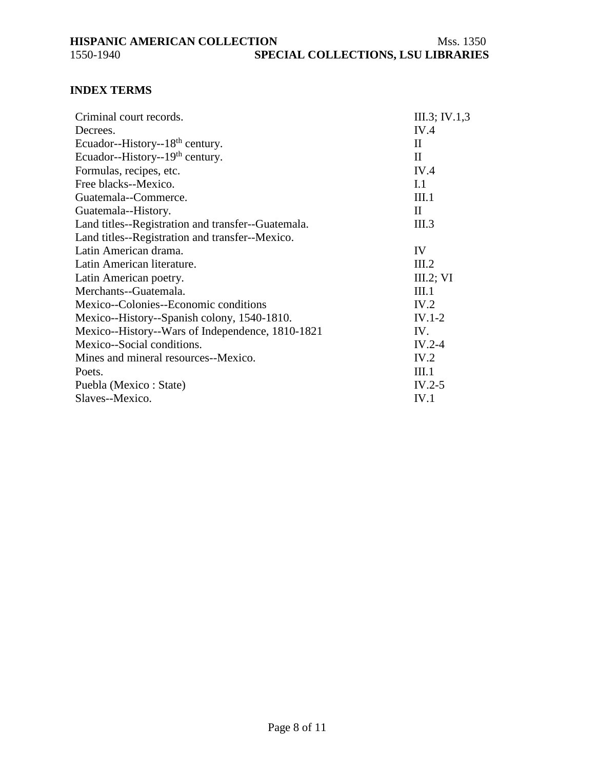# <span id="page-7-0"></span>**INDEX TERMS**

| Criminal court records.                            | III.3; IV.1,3 |
|----------------------------------------------------|---------------|
| Decrees.                                           | IV.4          |
| Ecuador--History--18 <sup>th</sup> century.        | $\mathbf{I}$  |
| Ecuador--History--19 <sup>th</sup> century.        | $\mathbf{I}$  |
| Formulas, recipes, etc.                            | IV.4          |
| Free blacks--Mexico.                               | I.1           |
| Guatemala--Commerce.                               | III.1         |
| Guatemala--History.                                | $\mathbf{I}$  |
| Land titles--Registration and transfer--Guatemala. | III.3         |
| Land titles--Registration and transfer--Mexico.    |               |
| Latin American drama.                              | IV            |
| Latin American literature.                         | III.2         |
| Latin American poetry.                             | III.2; VI     |
| Merchants--Guatemala.                              | III.1         |
| Mexico--Colonies--Economic conditions              | IV.2          |
| Mexico--History--Spanish colony, 1540-1810.        | $IV.1-2$      |
| Mexico--History--Wars of Independence, 1810-1821   | IV.           |
| Mexico--Social conditions.                         | $IV.2-4$      |
| Mines and mineral resources--Mexico.               | IV.2          |
| Poets.                                             | III.1         |
| Puebla (Mexico : State)                            | $IV.2-5$      |
| Slaves--Mexico.                                    | IV.1          |
|                                                    |               |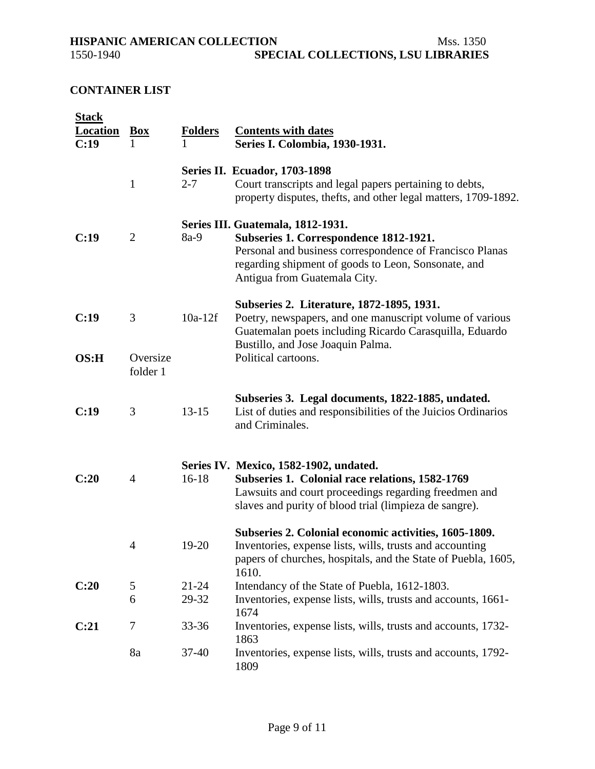<span id="page-8-0"></span>

# **CONTAINER LIST**

| <b>Stack</b><br><b>Location</b> | <b>Box</b>           | <b>Folders</b>     | <b>Contents with dates</b>                                                                                                                                                                                                     |
|---------------------------------|----------------------|--------------------|--------------------------------------------------------------------------------------------------------------------------------------------------------------------------------------------------------------------------------|
| C:19                            |                      | 1                  | Series I. Colombia, 1930-1931.                                                                                                                                                                                                 |
|                                 | $\mathbf{1}$         | $2 - 7$            | <b>Series II. Ecuador, 1703-1898</b><br>Court transcripts and legal papers pertaining to debts,<br>property disputes, the fts, and other legal matters, 1709-1892.                                                             |
| C:19                            | $\overline{2}$       | $8a-9$             | Series III. Guatemala, 1812-1931.<br>Subseries 1. Correspondence 1812-1921.<br>Personal and business correspondence of Francisco Planas<br>regarding shipment of goods to Leon, Sonsonate, and<br>Antigua from Guatemala City. |
| C:19                            | 3                    | $10a-12f$          | Subseries 2. Literature, 1872-1895, 1931.<br>Poetry, newspapers, and one manuscript volume of various<br>Guatemalan poets including Ricardo Carasquilla, Eduardo<br>Bustillo, and Jose Joaquin Palma.                          |
| OS:H                            | Oversize<br>folder 1 |                    | Political cartoons.                                                                                                                                                                                                            |
| C:19                            | 3                    | $13 - 15$          | Subseries 3. Legal documents, 1822-1885, undated.<br>List of duties and responsibilities of the Juicios Ordinarios<br>and Criminales.                                                                                          |
| C:20                            | 4                    | $16 - 18$          | Series IV. Mexico, 1582-1902, undated.<br>Subseries 1. Colonial race relations, 1582-1769<br>Lawsuits and court proceedings regarding freedmen and<br>slaves and purity of blood trial (limpieza de sangre).                   |
|                                 | 4                    | 19-20              | Subseries 2. Colonial economic activities, 1605-1809.<br>Inventories, expense lists, wills, trusts and accounting<br>papers of churches, hospitals, and the State of Puebla, 1605,<br>1610.                                    |
| C:20                            | 5<br>6               | $21 - 24$<br>29-32 | Intendancy of the State of Puebla, 1612-1803.<br>Inventories, expense lists, wills, trusts and accounts, 1661-                                                                                                                 |
| C:21                            | 7                    | 33-36              | 1674<br>Inventories, expense lists, wills, trusts and accounts, 1732-<br>1863                                                                                                                                                  |
|                                 | 8a                   | $37 - 40$          | Inventories, expense lists, wills, trusts and accounts, 1792-<br>1809                                                                                                                                                          |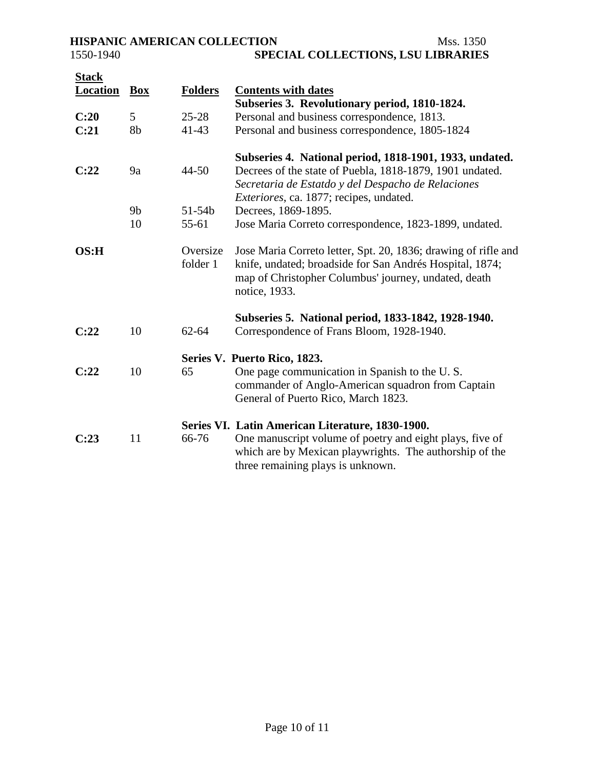| <b>Stack</b><br><b>Location</b> | <b>Box</b>     | <b>Folders</b>       | <b>Contents with dates</b>                                                                                                                                                                                                   |
|---------------------------------|----------------|----------------------|------------------------------------------------------------------------------------------------------------------------------------------------------------------------------------------------------------------------------|
|                                 |                |                      | Subseries 3. Revolutionary period, 1810-1824.                                                                                                                                                                                |
| C:20                            | 5 <sup>5</sup> | $25 - 28$            | Personal and business correspondence, 1813.                                                                                                                                                                                  |
| C:21                            | 8b             | $41 - 43$            | Personal and business correspondence, 1805-1824                                                                                                                                                                              |
| C:22                            | 9a             | $44 - 50$            | Subseries 4. National period, 1818-1901, 1933, undated.<br>Decrees of the state of Puebla, 1818-1879, 1901 undated.<br>Secretaria de Estatdo y del Despacho de Relaciones<br><i>Exteriores</i> , ca. 1877; recipes, undated. |
|                                 | 9 <sub>b</sub> | $51 - 54b$           | Decrees, 1869-1895.                                                                                                                                                                                                          |
|                                 | 10             | $55 - 61$            | Jose Maria Correto correspondence, 1823-1899, undated.                                                                                                                                                                       |
| OS:H                            |                | Oversize<br>folder 1 | Jose Maria Correto letter, Spt. 20, 1836; drawing of rifle and<br>knife, undated; broadside for San Andrés Hospital, 1874;<br>map of Christopher Columbus' journey, undated, death<br>notice, 1933.                          |
| C:22                            | 10             | $62 - 64$            | Subseries 5. National period, 1833-1842, 1928-1940.<br>Correspondence of Frans Bloom, 1928-1940.                                                                                                                             |
|                                 |                |                      | Series V. Puerto Rico, 1823.                                                                                                                                                                                                 |
| C:22                            | 10             | 65                   | One page communication in Spanish to the U.S.<br>commander of Anglo-American squadron from Captain<br>General of Puerto Rico, March 1823.                                                                                    |
|                                 |                |                      | Series VI. Latin American Literature, 1830-1900.                                                                                                                                                                             |
| C:23                            | 11             | 66-76                | One manuscript volume of poetry and eight plays, five of<br>which are by Mexican playwrights. The authorship of the<br>three remaining plays is unknown.                                                                     |